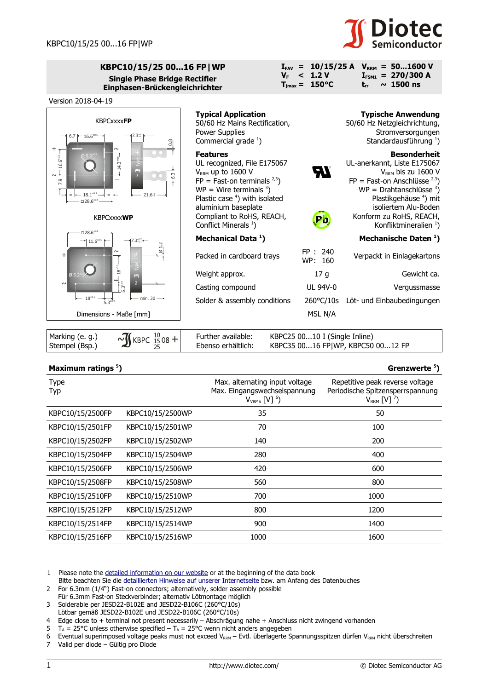

 $I_{FSM1}$  = 270/300 A **trr ~ 1500 ns**

 $I_{FAV}$  = 10/15/25 A  $V_{RRM}$  = 50...1600 V

 $V_F$  < 1.2 V  $T_{\text{jmax}} = 150^{\circ}C$ 

## **KBPC10/15/25 00...16 FP|WP Single Phase Bridge Rectifier Einphasen-Brückengleichrichter**



| $\sqrt{1}$ KBPC $\frac{10}{15}$ 08 +<br>Marking (e. g.)<br>Further available:<br>Ebenso erhältlich:<br>Stempel (Bsp.) | KBPC25 0010 I (Single Inline)<br>KBPC35 0016 FP WP, KBPC50 0012 FP |
|-----------------------------------------------------------------------------------------------------------------------|--------------------------------------------------------------------|
|-----------------------------------------------------------------------------------------------------------------------|--------------------------------------------------------------------|

## **Maximum ratings [5](#page-0-4) ) Grenzwerte <sup>5</sup> )**

| <b>Type</b><br>Typ |                  | Max. alternating input voltage<br>Max. Eingangswechselspannung<br>$V_{VRMS}$ [V] $^6$ ) | Repetitive peak reverse voltage<br>Periodische Spitzensperrspannung<br>$V_{RRM}$ [V] $^7$ ) |
|--------------------|------------------|-----------------------------------------------------------------------------------------|---------------------------------------------------------------------------------------------|
| KBPC10/15/2500FP   | KBPC10/15/2500WP | 35                                                                                      | 50                                                                                          |
| KBPC10/15/2501FP   | KBPC10/15/2501WP | 70                                                                                      | 100                                                                                         |
| KBPC10/15/2502FP   | KBPC10/15/2502WP | 140                                                                                     | 200                                                                                         |
| KBPC10/15/2504FP   | KBPC10/15/2504WP | 280                                                                                     | 400                                                                                         |
| KBPC10/15/2506FP   | KBPC10/15/2506WP | 420                                                                                     | 600                                                                                         |
| KBPC10/15/2508FP   | KBPC10/15/2508WP | 560                                                                                     | 800                                                                                         |
| KBPC10/15/2510FP   | KBPC10/15/2510WP | 700                                                                                     | 1000                                                                                        |
| KBPC10/15/2512FP   | KBPC10/15/2512WP | 800                                                                                     | 1200                                                                                        |
| KBPC10/15/2514FP   | KBPC10/15/2514WP | 900                                                                                     | 1400                                                                                        |
| KBPC10/15/2516FP   | KBPC10/15/2516WP | 1000                                                                                    | 1600                                                                                        |

<span id="page-0-0"></span>1 Please note the [detailed information on our website](http://diotec.com/en/products/all-products.html) or at the beginning of the data book

<span id="page-0-6"></span>7 Valid per diode – Gültig pro Diode

<span id="page-0-1"></span>Bitte beachten Sie die [detaillierten Hinweise auf unserer Internetseite](http://diotec.com/de/produkte/uebersicht.html) bzw. am Anfang des Datenbuches

<sup>2</sup> For 6.3mm (1/4") Fast-on connectors; alternatively, solder assembly possible

Für 6.3mm Fast-on Steckverbinder; alternativ Lötmontage möglich 3 Solderable per JESD22-B102E and JESD22-B106C (260°C/10s)

<span id="page-0-2"></span>Lötbar gemäß JESD22-B102E und JESD22-B106C (260°C/10s)

<span id="page-0-3"></span><sup>4</sup> Edge close to + terminal not present necessarily – Abschrägung nahe + Anschluss nicht zwingend vorhanden

<span id="page-0-4"></span> $5$  T<sub>A</sub> = 25°C unless otherwise specified – T<sub>A</sub> = 25°C wenn nicht anders angegeben

<span id="page-0-5"></span><sup>6</sup> Eventual superimposed voltage peaks must not exceed V<sub>RRM</sub> – Evtl. überlagerte Spannungsspitzen dürfen V<sub>RRM</sub> nicht überschreiten